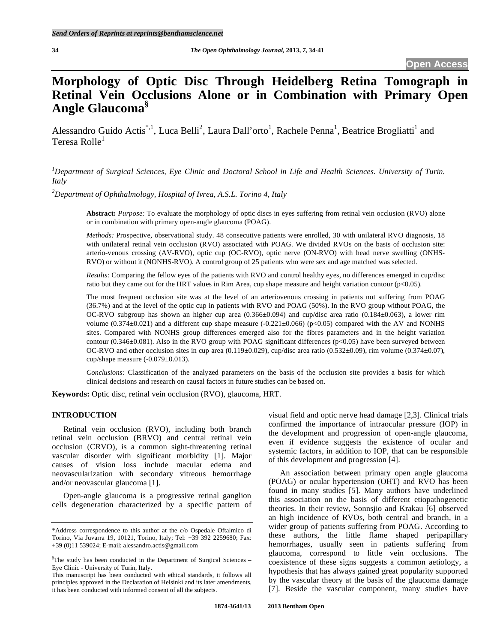# **Morphology of Optic Disc Through Heidelberg Retina Tomograph in Retinal Vein Occlusions Alone or in Combination with Primary Open Angle Glaucoma§**

Alessandro Guido Actis<sup>\*,1</sup>, Luca Belli<sup>2</sup>, Laura Dall'orto<sup>1</sup>, Rachele Penna<sup>1</sup>, Beatrice Brogliatti<sup>1</sup> and Teresa Rolle<sup>1</sup>

<sup>1</sup> Department of Surgical Sciences, Eye Clinic and Doctoral School in Life and Health Sciences. University of Turin. *Italy* 

*2 Department of Ophthalmology, Hospital of Ivrea, A.S.L. Torino 4, Italy* 

**Abstract:** *Purpose:* To evaluate the morphology of optic discs in eyes suffering from retinal vein occlusion (RVO) alone or in combination with primary open-angle glaucoma (POAG).

*Methods:* Prospective, observational study. 48 consecutive patients were enrolled, 30 with unilateral RVO diagnosis, 18 with unilateral retinal vein occlusion (RVO) associated with POAG. We divided RVOs on the basis of occlusion site: arterio-venous crossing (AV-RVO), optic cup (OC-RVO), optic nerve (ON-RVO) with head nerve swelling (ONHS-RVO) or without it (NONHS-RVO). A control group of 25 patients who were sex and age matched was selected.

*Results:* Comparing the fellow eyes of the patients with RVO and control healthy eyes, no differences emerged in cup/disc ratio but they came out for the HRT values in Rim Area, cup shape measure and height variation contour  $(p<0.05)$ .

The most frequent occlusion site was at the level of an arteriovenous crossing in patients not suffering from POAG (36.7%) and at the level of the optic cup in patients with RVO and POAG (50%). In the RVO group without POAG, the OC-RVO subgroup has shown an higher cup area  $(0.366\pm0.094)$  and cup/disc area ratio  $(0.184\pm0.063)$ , a lower rim volume  $(0.374\pm0.021)$  and a different cup shape measure  $(-0.221\pm0.066)$  (p $<0.05$ ) compared with the AV and NONHS sites. Compared with NONHS group differences emerged also for the fibres parameters and in the height variation contour  $(0.346±0.081)$ . Also in the RVO group with POAG significant differences (p<0.05) have been surveyed between OC-RVO and other occlusion sites in cup area (0.119±0.029), cup/disc area ratio (0.532±0.09), rim volume (0.374±0.07), cup/shape measure (-0.079±0.013).

*Conclusions:* Classification of the analyzed parameters on the basis of the occlusion site provides a basis for which clinical decisions and research on causal factors in future studies can be based on.

**Keywords:** Optic disc, retinal vein occlusion (RVO), glaucoma, HRT.

## **INTRODUCTION**

 Retinal vein occlusion (RVO), including both branch retinal vein occlusion (BRVO) and central retinal vein occlusion (CRVO), is a common sight-threatening retinal vascular disorder with significant morbidity [1]. Major causes of vision loss include macular edema and neovascularization with secondary vitreous hemorrhage and/or neovascular glaucoma [1].

 Open-angle glaucoma is a progressive retinal ganglion cells degeneration characterized by a specific pattern of visual field and optic nerve head damage [2,3]. Clinical trials confirmed the importance of intraocular pressure (IOP) in the development and progression of open-angle glaucoma, even if evidence suggests the existence of ocular and systemic factors, in addition to IOP, that can be responsible of this development and progression [4].

 An association between primary open angle glaucoma (POAG) or ocular hypertension (OHT) and RVO has been found in many studies [5]. Many authors have underlined this association on the basis of different etiopathogenetic theories. In their review, Sonnsjio and Krakau [6] observed an high incidence of RVOs, both central and branch, in a wider group of patients suffering from POAG. According to these authors, the little flame shaped peripapillary hemorrhages, usually seen in patients suffering from glaucoma, correspond to little vein occlusions. The coexistence of these signs suggests a common aetiology, a hypothesis that has always gained great popularity supported by the vascular theory at the basis of the glaucoma damage [7]. Beside the vascular component, many studies have

<sup>\*</sup>Address correspondence to this author at the c/o Ospedale Oftalmico di Torino, Via Juvarra 19, 10121, Torino, Italy; Tel: +39 392 2259680; Fax: +39 (0)11 539024; E-mail: alessandro.actis@gmail.com

<sup>&</sup>lt;sup>§</sup>The study has been conducted in the Department of Surgical Sciences – Eye Clinic - University of Turin, Italy.

This manuscript has been conducted with ethical standards, it follows all principles approved in the Declaration of Helsinki and its later amendments, it has been conducted with informed consent of all the subjects.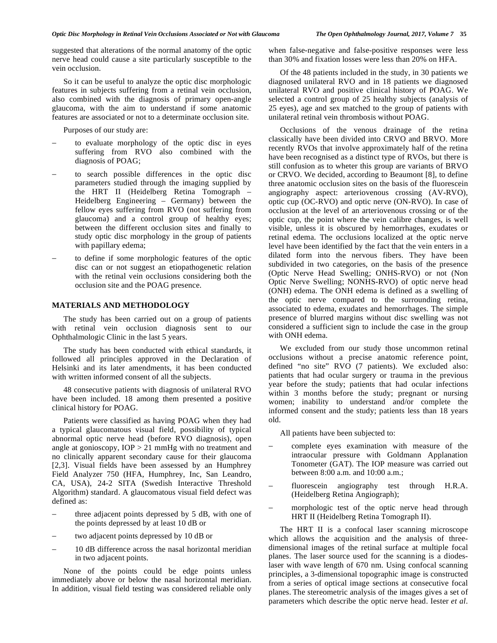suggested that alterations of the normal anatomy of the optic nerve head could cause a site particularly susceptible to the vein occlusion.

 So it can be useful to analyze the optic disc morphologic features in subjects suffering from a retinal vein occlusion, also combined with the diagnosis of primary open-angle glaucoma, with the aim to understand if some anatomic features are associated or not to a determinate occlusion site.

Purposes of our study are:

- to evaluate morphology of the optic disc in eyes suffering from RVO also combined with the diagnosis of POAG;
- to search possible differences in the optic disc parameters studied through the imaging supplied by the HRT II (Heidelberg Retina Tomograph – Heidelberg Engineering – Germany) between the fellow eyes suffering from RVO (not suffering from glaucoma) and a control group of healthy eyes; between the different occlusion sites and finally to study optic disc morphology in the group of patients with papillary edema;
- to define if some morphologic features of the optic disc can or not suggest an etiopathogenetic relation with the retinal vein occlusions considering both the occlusion site and the POAG presence.

## **MATERIALS AND METHODOLOGY**

 The study has been carried out on a group of patients with retinal vein occlusion diagnosis sent to our Ophthalmologic Clinic in the last 5 years.

 The study has been conducted with ethical standards, it followed all principles approved in the Declaration of Helsinki and its later amendments, it has been conducted with written informed consent of all the subjects.

 48 consecutive patients with diagnosis of unilateral RVO have been included. 18 among them presented a positive clinical history for POAG.

 Patients were classified as having POAG when they had a typical glaucomatous visual field, possibility of typical abnormal optic nerve head (before RVO diagnosis), open angle at gonioscopy, IOP > 21 mmHg with no treatment and no clinically apparent secondary cause for their glaucoma [2,3]. Visual fields have been assessed by an Humphrey Field Analyzer 750 (HFA, Humphrey, Inc, San Leandro, CA, USA), 24-2 SITA (Swedish Interactive Threshold Algorithm) standard. A glaucomatous visual field defect was defined as:

- three adjacent points depressed by 5 dB, with one of the points depressed by at least 10 dB or
- two adjacent points depressed by 10 dB or
- 10 dB difference across the nasal horizontal meridian in two adjacent points.

 None of the points could be edge points unless immediately above or below the nasal horizontal meridian. In addition, visual field testing was considered reliable only when false-negative and false-positive responses were less than 30% and fixation losses were less than 20% on HFA.

 Of the 48 patients included in the study, in 30 patients we diagnosed unilateral RVO and in 18 patients we diagnosed unilateral RVO and positive clinical history of POAG. We selected a control group of 25 healthy subjects (analysis of 25 eyes), age and sex matched to the group of patients with unilateral retinal vein thrombosis without POAG.

 Occlusions of the venous drainage of the retina classically have been divided into CRVO and BRVO. More recently RVOs that involve approximately half of the retina have been recognised as a distinct type of RVOs, but there is still confusion as to wheter this group are variants of BRVO or CRVO. We decided, according to Beaumont [8], to define three anatomic occlusion sites on the basis of the fluorescein angiography aspect: arteriovenous crossing (AV-RVO), optic cup (OC-RVO) and optic nerve (ON-RVO). In case of occlusion at the level of an arteriovenous crossing or of the optic cup, the point where the vein calibre changes, is well visible, unless it is obscured by hemorrhages, exudates or retinal edema. The occlusions localized at the optic nerve level have been identified by the fact that the vein enters in a dilated form into the nervous fibers. They have been subdivided in two categories, on the basis of the presence (Optic Nerve Head Swelling; ONHS-RVO) or not (Non Optic Nerve Swelling; NONHS-RVO) of optic nerve head (ONH) edema. The ONH edema is defined as a swelling of the optic nerve compared to the surrounding retina, associated to edema, exudates and hemorrhages. The simple presence of blurred margins without disc swelling was not considered a sufficient sign to include the case in the group with ONH edema.

 We excluded from our study those uncommon retinal occlusions without a precise anatomic reference point, defined "no site" RVO (7 patients). We excluded also: patients that had ocular surgery or trauma in the previous year before the study; patients that had ocular infections within 3 months before the study; pregnant or nursing women; inability to understand and/or complete the informed consent and the study; patients less than 18 years old.

All patients have been subjected to:

- complete eyes examination with measure of the intraocular pressure with Goldmann Applanation Tonometer (GAT). The IOP measure was carried out between 8:00 a.m. and 10:00 a.m.;
- fluorescein angiography test through H.R.A. (Heidelberg Retina Angiograph);
- morphologic test of the optic nerve head through HRT II (Heidelberg Retina Tomograph II).

 The HRT II is a confocal laser scanning microscope which allows the acquisition and the analysis of threedimensional images of the retinal surface at multiple focal planes. The laser source used for the scanning is a diodeslaser with wave length of 670 nm. Using confocal scanning principles, a 3-dimensional topographic image is constructed from a series of optical image sections at consecutive focal planes. The stereometric analysis of the images gives a set of parameters which describe the optic nerve head. Iester *et al*.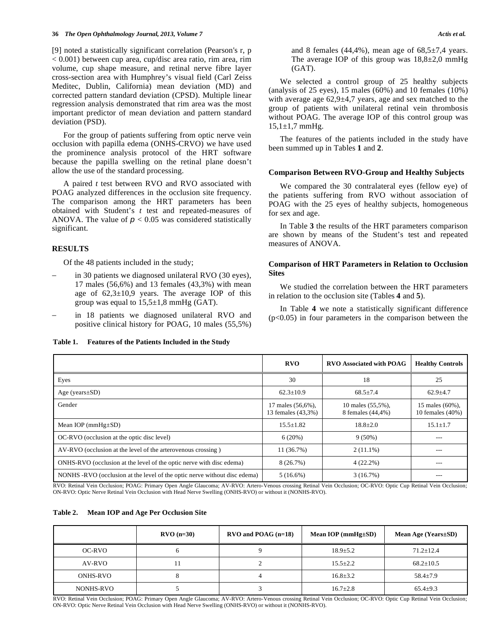[9] noted a statistically significant correlation (Pearson's r, p < 0.001) between cup area, cup/disc area ratio, rim area, rim volume, cup shape measure, and retinal nerve fibre layer cross-section area with Humphrey's visual field (Carl Zeiss Meditec, Dublin, California) mean deviation (MD) and corrected pattern standard deviation (CPSD). Multiple linear regression analysis demonstrated that rim area was the most important predictor of mean deviation and pattern standard deviation (PSD).

 For the group of patients suffering from optic nerve vein occlusion with papilla edema (ONHS-CRVO) we have used the prominence analysis protocol of the HRT software because the papilla swelling on the retinal plane doesn't allow the use of the standard processing.

 A paired *t* test between RVO and RVO associated with POAG analyzed differences in the occlusion site frequency. The comparison among the HRT parameters has been obtained with Student's *t* test and repeated-measures of ANOVA. The value of  $p < 0.05$  was considered statistically significant.

## **RESULTS**

Of the 48 patients included in the study;

- in 30 patients we diagnosed unilateral RVO (30 eyes), 17 males (56,6%) and 13 females (43,3%) with mean age of  $62,3\pm10,9$  years. The average IOP of this group was equal to  $15,5\pm1,8$  mmHg (GAT).
- in 18 patients we diagnosed unilateral RVO and positive clinical history for POAG, 10 males (55,5%)

#### **Table 1. Features of the Patients Included in the Study**

and 8 females (44,4%), mean age of  $68,5\pm7,4$  years. The average IOP of this group was  $18,8\pm2,0$  mmHg (GAT).

 We selected a control group of 25 healthy subjects (analysis of 25 eyes), 15 males (60%) and 10 females (10%) with average age 62,9±4,7 years, age and sex matched to the group of patients with unilateral retinal vein thrombosis without POAG. The average IOP of this control group was  $15,1\pm1,7$  mmHg.

 The features of the patients included in the study have been summed up in Tables **1** and **2**.

#### **Comparison Between RVO-Group and Healthy Subjects**

 We compared the 30 contralateral eyes (fellow eye) of the patients suffering from RVO without association of POAG with the 25 eyes of healthy subjects, homogeneous for sex and age.

 In Table **3** the results of the HRT parameters comparison are shown by means of the Student's test and repeated measures of ANOVA.

## **Comparison of HRT Parameters in Relation to Occlusion Sites**

 We studied the correlation between the HRT parameters in relation to the occlusion site (Tables **4** and **5**).

 In Table **4** we note a statistically significant difference  $(p<0.05)$  in four parameters in the comparison between the

|                                                                           | RVO                                     | <b>RVO Associated with POAG</b>        | <b>Healthy Controls</b>             |
|---------------------------------------------------------------------------|-----------------------------------------|----------------------------------------|-------------------------------------|
| Eyes                                                                      | 30                                      | 18                                     | 25                                  |
| Age (years $\pm SD$ )                                                     | $62.3 \pm 10.9$                         | $68.5 \pm 7.4$                         | $62.9 + 4.7$                        |
| Gender                                                                    | 17 males (56,6%),<br>13 females (43,3%) | 10 males (55,5%),<br>8 females (44,4%) | 15 males (60%),<br>10 females (40%) |
| Mean IOP ( $mmHg \pm SD$ )                                                | $15.5 + 1.82$                           | $18.8 + 2.0$                           | $15.1 \pm 1.7$                      |
| OC-RVO (occlusion at the optic disc level)                                | 6(20%)                                  | $9(50\%)$                              |                                     |
| AV-RVO (occlusion at the level of the arterovenous crossing)              | 11 (36.7%)                              | $2(11.1\%)$                            | ---                                 |
| ONHS-RVO (occlusion at the level of the optic nerve with disc edema)      | 8(26.7%)                                | 4(22.2%)                               | ---                                 |
| NONHS -RVO (occlusion at the level of the optic nerve without disc edema) | $5(16.6\%)$                             | 3(16.7%)                               |                                     |

RVO: Retinal Vein Occlusion; POAG: Primary Open Angle Glaucoma; AV-RVO: Artero-Venous crossing Retinal Vein Occlusion; OC-RVO: Optic Cup Retinal Vein Occlusion; ON-RVO: Optic Nerve Retinal Vein Occlusion with Head Nerve Swelling (ONHS-RVO) or without it (NONHS-RVO).

#### **Table 2. Mean IOP and Age Per Occlusion Site**

|           | $RVO (n=30)$ | $RVO$ and POAG (n=18) | Mean IOP ( $mmHg \pm SD$ ) | Mean Age $(Years \pm SD)$ |
|-----------|--------------|-----------------------|----------------------------|---------------------------|
| OC-RVO    | O            |                       | $18.9 \pm 5.2$             | $71.2 + 12.4$             |
| AV-RVO    | 11           |                       | $15.5 \pm 2.2$             | $68.2 + 10.5$             |
| ONHS-RVO  | Ω            |                       | $16.8 \pm 3.2$             | $58.4 \pm 7.9$            |
| NONHS-RVO |              |                       | $16.7 \pm 2.8$             | $65.4+9.3$                |

RVO: Retinal Vein Occlusion; POAG: Primary Open Angle Glaucoma; AV-RVO: Artero-Venous crossing Retinal Vein Occlusion; OC-RVO: Optic Cup Retinal Vein Occlusion; ON-RVO: Optic Nerve Retinal Vein Occlusion with Head Nerve Swelling (ONHS-RVO) or without it (NONHS-RVO).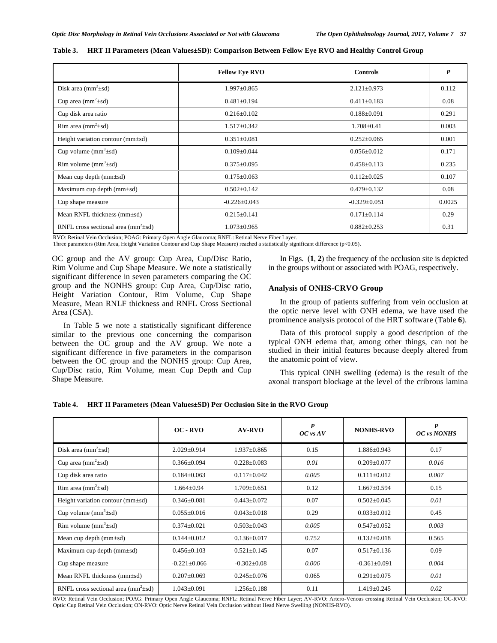|                                        | <b>Fellow Eye RVO</b> | <b>Controls</b>    | P      |
|----------------------------------------|-----------------------|--------------------|--------|
| Disk area $(mm^2 \pm sd)$              | $1.997 \pm 0.865$     | $2.121 \pm 0.973$  | 0.112  |
| Cup area $(mm^2 \pm sd)$               | $0.481 \pm 0.194$     | $0.411 \pm 0.183$  | 0.08   |
| Cup disk area ratio                    | $0.216 \pm 0.102$     | $0.188 + 0.091$    | 0.291  |
| Rim area $(mm^2 \pm sd)$               | $1.517 \pm 0.342$     | $1.708 \pm 0.41$   | 0.003  |
| Height variation contour (mm $\pm$ sd) | $0.351 \pm 0.081$     | $0.252 \pm 0.065$  | 0.001  |
| Cup volume $(mm^3 \pm sd)$             | $0.109 \pm 0.044$     | $0.056 \pm 0.012$  | 0.171  |
| Rim volume $(mm3±sd)$                  | $0.375 \pm 0.095$     | $0.458 \pm 0.113$  | 0.235  |
| Mean cup depth $(mm \pm sd)$           | $0.175 \pm 0.063$     | $0.112 \pm 0.025$  | 0.107  |
| Maximum cup depth $(mm \pm sd)$        | $0.502 \pm 0.142$     | $0.479 \pm 0.132$  | 0.08   |
| Cup shape measure                      | $-0.226 \pm 0.043$    | $-0.329 \pm 0.051$ | 0.0025 |
| Mean RNFL thickness (mm±sd)            | $0.215 \pm 0.141$     | $0.171 \pm 0.114$  | 0.29   |
| RNFL cross sectional area $(mm2±sd)$   | $1.073 \pm 0.965$     | $0.882 \pm 0.253$  | 0.31   |

|  |  | Table 3. HRT II Parameters (Mean Values±SD): Comparison Between Fellow Eye RVO and Healthy Control Group |
|--|--|----------------------------------------------------------------------------------------------------------|
|  |  |                                                                                                          |

RVO: Retinal Vein Occlusion; POAG: Primary Open Angle Glaucoma; RNFL: Retinal Nerve Fiber Layer.

Three parameters (Rim Area, Height Variation Contour and Cup Shape Measure) reached a statistically significant difference (p<0.05).

OC group and the AV group: Cup Area, Cup/Disc Ratio, Rim Volume and Cup Shape Measure. We note a statistically significant difference in seven parameters comparing the OC group and the NONHS group: Cup Area, Cup/Disc ratio, Height Variation Contour, Rim Volume, Cup Shape Measure, Mean RNLF thickness and RNFL Cross Sectional Area (CSA).

 In Table **5** we note a statistically significant difference similar to the previous one concerning the comparison between the OC group and the AV group. We note a significant difference in five parameters in the comparison between the OC group and the NONHS group: Cup Area, Cup/Disc ratio, Rim Volume, mean Cup Depth and Cup Shape Measure.

 In Figs. (**1**, **2**) the frequency of the occlusion site is depicted in the groups without or associated with POAG, respectively.

## **Analysis of ONHS-CRVO Group**

 In the group of patients suffering from vein occlusion at the optic nerve level with ONH edema, we have used the prominence analysis protocol of the HRT software (Table **6**).

 Data of this protocol supply a good description of the typical ONH edema that, among other things, can not be studied in their initial features because deeply altered from the anatomic point of view.

 This typical ONH swelling (edema) is the result of the axonal transport blockage at the level of the cribrous lamina

|  | Table 4. HRT II Parameters (Mean Values±SD) Per Occlusion Site in the RVO Group |  |  |  |  |  |  |  |
|--|---------------------------------------------------------------------------------|--|--|--|--|--|--|--|
|--|---------------------------------------------------------------------------------|--|--|--|--|--|--|--|

|                                        | $OC-RVO$           | $AV-RVO$          | $\boldsymbol{P}$<br>$OC$ vs $AV$ | <b>NONHS-RVO</b>   | P<br>OC vs NONHS |
|----------------------------------------|--------------------|-------------------|----------------------------------|--------------------|------------------|
| Disk area $(mm^2 \pm sd)$              | $2.029 \pm 0.914$  | $1.937+0.865$     | 0.15                             | $1.886 \pm 0.943$  | 0.17             |
| Cup area $(mm^2 \pm sd)$               | $0.366 \pm 0.094$  | $0.228 \pm 0.083$ | 0.01                             | $0.209 \pm 0.077$  | 0.016            |
| Cup disk area ratio                    | $0.184 \pm 0.063$  | $0.117 \pm 0.042$ | 0.005                            | $0.111 \pm 0.012$  | 0.007            |
| Rim area $(mm^2 \pm sd)$               | $1.664 \pm 0.94$   | $1.709 + 0.651$   | 0.12                             | $1.667 \pm 0.594$  | 0.15             |
| Height variation contour (mm $\pm$ sd) | $0.346 \pm 0.081$  | $0.443 \pm 0.072$ | 0.07                             | $0.502 \pm 0.045$  | 0.01             |
| Cup volume $(mm^3 \pm sd)$             | $0.055 \pm 0.016$  | $0.043 \pm 0.018$ | 0.29                             | $0.033 \pm 0.012$  | 0.45             |
| Rim volume $(mm^3 \pm sd)$             | $0.374 \pm 0.021$  | $0.503 \pm 0.043$ | 0.005                            | $0.547 \pm 0.052$  | 0.003            |
| Mean cup depth $(mm \pm sd)$           | $0.144 \pm 0.012$  | $0.136 \pm 0.017$ | 0.752                            | $0.132 \pm 0.018$  | 0.565            |
| Maximum cup depth $(mm\pm sd)$         | $0.456 + 0.103$    | $0.521 + 0.145$   | 0.07                             | $0.517 + 0.136$    | 0.09             |
| Cup shape measure                      | $-0.221 \pm 0.066$ | $-0.302 \pm 0.08$ | 0.006                            | $-0.361 \pm 0.091$ | 0.004            |
| Mean RNFL thickness $(mm \pm sd)$      | $0.207 \pm 0.069$  | $0.245 \pm 0.076$ | 0.065                            | $0.291 \pm 0.075$  | 0.01             |
| RNFL cross sectional area $(mm2±sd)$   | $1.043 \pm 0.091$  | $1.256 \pm 0.188$ | 0.11                             | $1.419 \pm 0.245$  | 0.02             |

RVO: Retinal Vein Occlusion; POAG: Primary Open Angle Glaucoma; RNFL: Retinal Nerve Fiber Layer; AV-RVO: Artero-Venous crossing Retinal Vein Occlusion; OC-RVO: Optic Cup Retinal Vein Occlusion; ON-RVO: Optic Nerve Retinal Vein Occlusion without Head Nerve Swelling (NONHS-RVO).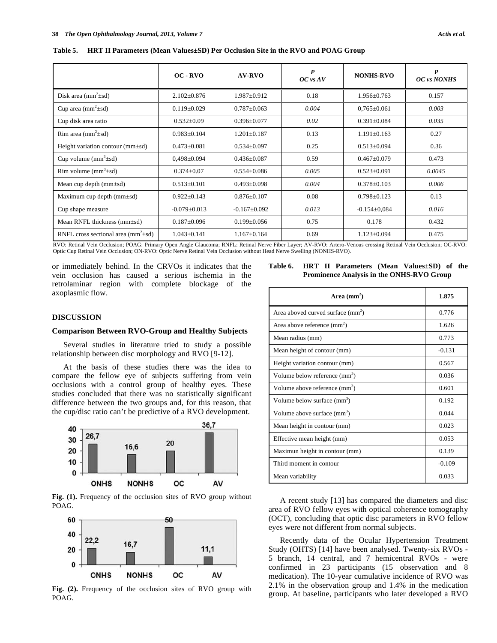| Table 5. |  |  | <b>HRT II Parameters (Mean Values: SD) Per Occlusion Site in the RVO and POAG Group</b> |  |
|----------|--|--|-----------------------------------------------------------------------------------------|--|
|----------|--|--|-----------------------------------------------------------------------------------------|--|

|                                                             | $OC$ - $RVO$                       | <b>AV-RVO</b>                                     | $\boldsymbol{P}$<br>$OC$ vs $AV$ | <b>NONHS-RVO</b>                  | P<br>OC vs NONHS |
|-------------------------------------------------------------|------------------------------------|---------------------------------------------------|----------------------------------|-----------------------------------|------------------|
| Disk area $(mm^2 \pm sd)$                                   | $2.102 \pm 0.876$                  | $1.987 \pm 0.912$                                 | 0.18                             | $1.956 \pm 0.763$                 | 0.157            |
| Cup area $(mm2±sd)$                                         | $0.119 \pm 0.029$                  | $0.787 \pm 0.063$                                 | 0.004                            | $0,765 \pm 0.061$                 | 0.003            |
| Cup disk area ratio                                         | $0.532 \pm 0.09$                   | $0.396 \pm 0.077$                                 | 0.02                             | $0.391 \pm 0.084$                 | 0.035            |
| Rim area $(mm^2 \pm sd)$                                    | $0.983 \pm 0.104$                  | $1.201 \pm 0.187$                                 | 0.13                             | $1.191 \pm 0.163$                 | 0.27             |
| Height variation contour (mm±sd)                            | $0.473 \pm 0.081$                  | $0.534 \pm 0.097$                                 | 0.25                             | $0.513 \pm 0.094$                 | 0.36             |
| Cup volume $(mm3±sd)$                                       | $0.498 \pm 0.094$                  | $0.436 \pm 0.087$                                 | 0.59                             | $0.467 + 0.079$                   | 0.473            |
| Rim volume $(mm^3 \pm sd)$                                  | $0.374 \pm 0.07$                   | $0.554 \pm 0.086$                                 | 0.005                            | $0.523 \pm 0.091$                 | 0.0045           |
| Mean cup depth $(mm \pm sd)$                                | $0.513 \pm 0.101$                  | $0.493 \pm 0.098$                                 | 0.004                            | $0.378 \pm 0.103$                 | 0.006            |
| Maximum cup depth $(mm \pm sd)$                             | $0.922 \pm 0.143$                  | $0.876 \pm 0.107$                                 | 0.08                             | $0.798 \pm 0.123$                 | 0.13             |
| Cup shape measure                                           | $-0.079 \pm 0.013$                 | $-0.167 \pm 0.092$                                | 0.013                            | $-0.154\pm0.084$                  | 0.016            |
| Mean RNFL thickness (mm±sd)                                 | $0.187 \pm 0.096$                  | $0.199 \pm 0.056$                                 | 0.75                             | 0.178                             | 0.432            |
| RNFL cross sectional area ( $mm^2 \pm sd$ )<br>$\mathbf{r}$ | $1.043 \pm 0.141$<br>$\sim$ $\sim$ | $1.167 \pm 0.164$<br>$\mathbf{m}$<br>$\mathbf{v}$ | 0.69<br>$1.77$ m $7.6$ $1.7$     | $1.123 \pm 0.094$<br>$\mathbf{v}$ | 0.475            |

RVO: Retinal Vein Occlusion; POAG: Primary Open Angle Glaucoma; RNFL: Retinal Nerve Fiber Layer; AV-RVO: Artero-Venous crossing Retinal Vein Occlusion; OC-RVO: Optic Cup Retinal Vein Occlusion; ON-RVO: Optic Nerve Retinal Vein Occlusion without Head Nerve Swelling (NONHS-RVO).

or immediately behind. In the CRVOs it indicates that the vein occlusion has caused a serious ischemia in the retrolaminar region with complete blockage of the axoplasmic flow.

## **Table 6. HRT II Parameters (Mean Values±SD) of the Prominence Analysis in the ONHS-RVO Group**

**Area (mm<sup>2</sup>**

| Area aboved curved surface $(mm^2)$       | 0.776    |
|-------------------------------------------|----------|
| Area above reference $(mm^2)$             | 1.626    |
| Mean radius (mm)                          | 0.773    |
| Mean height of contour (mm)               | $-0.131$ |
| Height variation contour (mm)             | 0.567    |
| Volume below reference (mm <sup>3</sup> ) | 0.036    |
| Volume above reference (mm <sup>3</sup> ) | 0.601    |
| Volume below surface (mm <sup>3</sup> )   | 0.192    |
| Volume above surface (mm <sup>3</sup> )   | 0.044    |
| Mean height in contour (mm)               | 0.023    |
| Effective mean height (mm)                | 0.053    |
| Maximun height in contour (mm)            | 0.139    |
| Third moment in contour                   | $-0.109$ |
| Mean variability                          | 0.033    |

 A recent study [13] has compared the diameters and disc area of RVO fellow eyes with optical coherence tomography (OCT), concluding that optic disc parameters in RVO fellow eyes were not different from normal subjects.

 Recently data of the Ocular Hypertension Treatment Study (OHTS) [14] have been analysed. Twenty-six RVOs - 5 branch, 14 central, and 7 hemicentral RVOs - were confirmed in 23 participants (15 observation and 8 medication). The 10-year cumulative incidence of RVO was 2.1% in the observation group and 1.4% in the medication group. At baseline, participants who later developed a RVO

## **DISCUSSION**

## **Comparison Between RVO-Group and Healthy Subjects**

 Several studies in literature tried to study a possible relationship between disc morphology and RVO [9-12].

 At the basis of these studies there was the idea to compare the fellow eye of subjects suffering from vein occlusions with a control group of healthy eyes. These studies concluded that there was no statistically significant difference between the two groups and, for this reason, that the cup/disc ratio can't be predictive of a RVO development.



**Fig. (1).** Frequency of the occlusion sites of RVO group without POAG.



**Fig. (2).** Frequency of the occlusion sites of RVO group with POAG.

**) 1.875**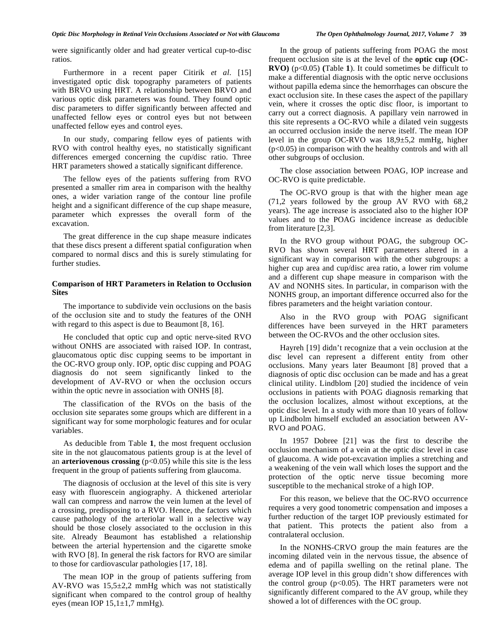were significantly older and had greater vertical cup-to-disc ratios.

 Furthermore in a recent paper Citirik *et al*. [15] investigated optic disk topography parameters of patients with BRVO using HRT. A relationship between BRVO and various optic disk parameters was found. They found optic disc parameters to differ significantly between affected and unaffected fellow eyes or control eyes but not between unaffected fellow eyes and control eyes.

 In our study, comparing fellow eyes of patients with RVO with control healthy eyes, no statistically significant differences emerged concerning the cup/disc ratio. Three HRT parameters showed a statically significant difference.

 The fellow eyes of the patients suffering from RVO presented a smaller rim area in comparison with the healthy ones, a wider variation range of the contour line profile height and a significant difference of the cup shape measure, parameter which expresses the overall form of the excavation.

 The great difference in the cup shape measure indicates that these discs present a different spatial configuration when compared to normal discs and this is surely stimulating for further studies.

## **Comparison of HRT Parameters in Relation to Occlusion Sites**

 The importance to subdivide vein occlusions on the basis of the occlusion site and to study the features of the ONH with regard to this aspect is due to Beaumont [8, 16].

 He concluded that optic cup and optic nerve-sited RVO without ONHS are associated with raised IOP. In contrast, glaucomatous optic disc cupping seems to be important in the OC-RVO group only. IOP, optic disc cupping and POAG diagnosis do not seem significantly linked to the development of AV-RVO or when the occlusion occurs within the optic nevre in association with ONHS [8].

 The classification of the RVOs on the basis of the occlusion site separates some groups which are different in a significant way for some morphologic features and for ocular variables.

 As deducible from Table **1**, the most frequent occlusion site in the not glaucomatous patients group is at the level of an **arteriovenous crossing** ( $p < 0.05$ ) while this site is the less frequent in the group of patients suffering from glaucoma.

 The diagnosis of occlusion at the level of this site is very easy with fluorescein angiography. A thickened arteriolar wall can compress and narrow the vein lumen at the level of a crossing, predisposing to a RVO. Hence, the factors which cause pathology of the arteriolar wall in a selective way should be those closely associated to the occlusion in this site. Already Beaumont has established a relationship between the arterial hypertension and the cigarette smoke with RVO [8]. In general the risk factors for RVO are similar to those for cardiovascular pathologies [17, 18].

 The mean IOP in the group of patients suffering from AV-RVO was 15,5±2,2 mmHg which was not statistically significant when compared to the control group of healthy eyes (mean IOP  $15,1\pm1,7$  mmHg).

 In the group of patients suffering from POAG the most frequent occlusion site is at the level of the **optic cup (OC-RVO)** (p<0.05) **(**Table **1**). It could sometimes be difficult to make a differential diagnosis with the optic nerve occlusions without papilla edema since the hemorrhages can obscure the exact occlusion site. In these cases the aspect of the papillary vein, where it crosses the optic disc floor, is important to carry out a correct diagnosis. A papillary vein narrowed in this site represents a OC-RVO while a dilated vein suggests an occurred occlusion inside the nerve itself. The mean IOP level in the group OC-RVO was 18,9±5,2 mmHg, higher  $(p<0.05)$  in comparison with the healthy controls and with all

 The close association between POAG, IOP increase and OC-RVO is quite predictable.

other subgroups of occlusion.

 The OC-RVO group is that with the higher mean age (71,2 years followed by the group AV RVO with 68,2 years). The age increase is associated also to the higher IOP values and to the POAG incidence increase as deducible from literature [2,3].

 In the RVO group without POAG, the subgroup OC-RVO has shown several HRT parameters altered in a significant way in comparison with the other subgroups: a higher cup area and cup/disc area ratio, a lower rim volume and a different cup shape measure in comparison with the AV and NONHS sites. In particular, in comparison with the NONHS group, an important difference occurred also for the fibres parameters and the height variation contour.

 Also in the RVO group with POAG significant differences have been surveyed in the HRT parameters between the OC-RVOs and the other occlusion sites.

 Hayreh [19] didn't recognize that a vein occlusion at the disc level can represent a different entity from other occlusions. Many years later Beaumont [8] proved that a diagnosis of optic disc occlusion can be made and has a great clinical utility. Lindblom [20] studied the incidence of vein occlusions in patients with POAG diagnosis remarking that the occlusion localizes, almost without exceptions, at the optic disc level. In a study with more than 10 years of follow up Lindbolm himself excluded an association between AV-RVO and POAG.

 In 1957 Dobree [21] was the first to describe the occlusion mechanism of a vein at the optic disc level in case of glaucoma. A wide pot-excavation implies a stretching and a weakening of the vein wall which loses the support and the protection of the optic nerve tissue becoming more susceptible to the mechanical stroke of a high IOP.

 For this reason, we believe that the OC-RVO occurrence requires a very good tonometric compensation and imposes a further reduction of the target IOP previously estimated for that patient. This protects the patient also from a contralateral occlusion.

 In the NONHS-CRVO group the main features are the incoming dilated vein in the nervous tissue, the absence of edema and of papilla swelling on the retinal plane. The average IOP level in this group didn't show differences with the control group  $(p<0.05)$ . The HRT parameters were not significantly different compared to the AV group, while they showed a lot of differences with the OC group.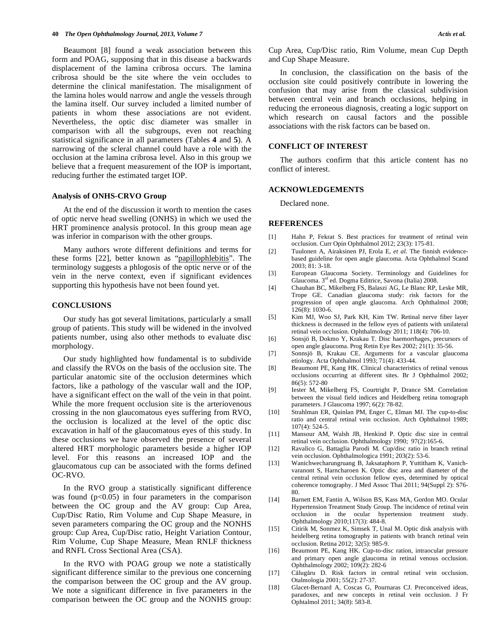Beaumont [8] found a weak association between this form and POAG, supposing that in this disease a backwards displacement of the lamina cribrosa occurs. The lamina cribrosa should be the site where the vein occludes to determine the clinical manifestation. The misalignment of the lamina holes would narrow and angle the vessels through the lamina itself. Our survey included a limited number of patients in whom these associations are not evident. Nevertheless, the optic disc diameter was smaller in comparison with all the subgroups, even not reaching statistical significance in all parameters (Tables **4** and **5**). A narrowing of the scleral channel could have a role with the occlusion at the lamina cribrosa level. Also in this group we believe that a frequent measurement of the IOP is important, reducing further the estimated target IOP.

## **Analysis of ONHS-CRVO Group**

 At the end of the discussion it worth to mention the cases of optic nerve head swelling (ONHS) in which we used the HRT prominence analysis protocol. In this group mean age was inferior in comparison with the other groups.

 Many authors wrote different definitions and terms for these forms [22], better known as "papillophlebitis". The terminology suggests a phlogosis of the optic nerve or of the vein in the nerve context, even if significant evidences supporting this hypothesis have not been found yet.

## **CONCLUSIONS**

 Our study has got several limitations, particularly a small group of patients. This study will be widened in the involved patients number, using also other methods to evaluate disc morphology.

 Our study highlighted how fundamental is to subdivide and classify the RVOs on the basis of the occlusion site. The particular anatomic site of the occlusion determines which factors, like a pathology of the vascular wall and the IOP, have a significant effect on the wall of the vein in that point. While the more frequent occlusion site is the arteriovenous crossing in the non glaucomatous eyes suffering from RVO, the occlusion is localized at the level of the optic disc excavation in half of the glaucomatous eyes of this study. In these occlusions we have observed the presence of several altered HRT morphologic parameters beside a higher IOP level. For this reasons an increased IOP and the glaucomatous cup can be associated with the forms defined OC-RVO.

 In the RVO group a statistically significant difference was found  $(p<0.05)$  in four parameters in the comparison between the OC group and the AV group: Cup Area, Cup/Disc Ratio, Rim Volume and Cup Shape Measure, in seven parameters comparing the OC group and the NONHS group: Cup Area, Cup/Disc ratio, Height Variation Contour, Rim Volume, Cup Shape Measure, Mean RNLF thickness and RNFL Cross Sectional Area (CSA).

 In the RVO with POAG group we note a statistically significant difference similar to the previous one concerning the comparison between the OC group and the AV group. We note a significant difference in five parameters in the comparison between the OC group and the NONHS group: Cup Area, Cup/Disc ratio, Rim Volume, mean Cup Depth and Cup Shape Measure.

 In conclusion, the classification on the basis of the occlusion site could positively contribute in lowering the confusion that may arise from the classical subdivision between central vein and branch occlusions, helping in reducing the erroneous diagnosis, creating a logic support on which research on causal factors and the possible associations with the risk factors can be based on.

## **CONFLICT OF INTEREST**

 The authors confirm that this article content has no conflict of interest.

## **ACKNOWLEDGEMENTS**

Declared none.

#### **REFERENCES**

- [1] Hahn P, Fekrat S. Best practices for treatment of retinal vein occlusion. Curr Opin Ophthalmol 2012; 23(3): 175-81.
- [2] Tuulonen A, Airaksinen PJ, Erola E, *et al*. The finnish evidencebased guideline for open angle glaucoma. Acta Ophthalmol Scand 2003; 81: 3-18.
- [3] European Glaucoma Society. Terminology and Guidelines for Glaucoma. 3rd ed. Dogma Editrice, Savona (Italia) 2008.
- [4] Chauhan BC, Mikelberg FS, Balaszi AG, Le Blanc RP, Leske MR, Trope GE. Canadian glaucoma study: risk factors for the progression of open angle glaucoma. Arch Ophthalmol 2008; 126(8): 1030-6.
- [5] Kim MJ, Woo SJ, Park KH, Kim TW. Retinal nerve fiber layer thickness is decreased in the fellow eyes of patients with unilateral retinal vein occlusion. Ophthalmology 2011; 118(4): 706-10.
- [6] Sonsjö B, Dokmo Y, Krakau T. Disc haemorrhages, precursors of open angle glaucoma. Prog Retin Eye Res 2002; 21(1): 35-56.
- [7] Sonnsjö B, Krakau CE. Arguments for a vascular glaucoma etiology. Acta Ophthalmol 1993; 71(4): 433-44.
- [8] Beaumont PE, Kang HK. Clinical characteristics of retinal venous occlusions occurring at different sites. Br J Ophthalmol 2002; 86(5): 572-80
- [9] Iester M, Mikelberg FS, Courtright P, Drance SM. Correlation between the visual field indices and Heidelberg retina tomograph parameters. J Glaucoma 1997; 6(2): 78-82.
- [10] Strahlman ER, Quinlan PM, Enger C, Elman MJ. The cup-to-disc ratio and central retinal vein occlusion. Arch Ophthalmol 1989; 107(4): 524-5.
- [11] Mansour AM, Walsh JB, Henkind P. Optic disc size in central retinal vein occlusion. Ophthalmology 1990; 97(2):165-6.
- [12] Ravalico G, Battaglia Parodi M. Cup/disc ratio in branch retinal vein occlusion. Ophthalmologica 1991; 203(2): 53-6.
- [13] Wanichwecharungruang B, Jaksataphorn P, Yuttitham K, Vanichvaranont S, Harncharoen K. Optic disc area and diameter of the central retinal vein occlusion fellow eyes, determined by optical coherence tomography. J Med Assoc Thai 2011; 94(Suppl 2): S76- 80.
- [14] Barnett EM, Fantin A, Wilson BS, Kass MA, Gordon MO. Ocular Hypertension Treatment Study Group. The incidence of retinal vein occlusion in the ocular hypertension treatment study. Ophthalmology 2010;117(3): 484-8.
- [15] Citirik M, Sonmez K, Simsek T, Unal M. Optic disk analysis with heidelberg retina tomography in patients with branch retinal vein occlusion. Retina 2012; 32(5): 985-9.
- [16] Beaumont PE, Kang HK. Cup-to-disc ration, intraocular pressure and primary open angle glaucoma in retinal venous occlusion. Ophthalmology 2002; 109(2): 282-6
- [17] Călugăru D. Risk factors in central retinal vein occlusion. Otalmologia 2001; 55(2): 27-37.
- [18] Glacet-Bernard A, Coscas G, Pournaras CJ. Preconceived ideas, paradoxes, and new concepts in retinal vein occlusion. J Fr Ophtalmol 2011; 34(8): 583-8.